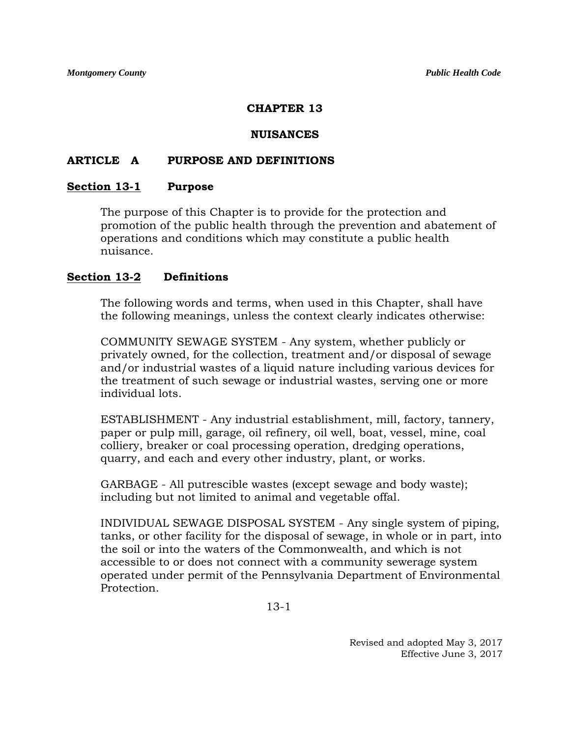### **CHAPTER 13**

#### **NUISANCES**

#### **ARTICLE A PURPOSE AND DEFINITIONS**

#### **Section 13-1 Purpose**

The purpose of this Chapter is to provide for the protection and promotion of the public health through the prevention and abatement of operations and conditions which may constitute a public health nuisance.

#### **Section 13-2 Definitions**

The following words and terms, when used in this Chapter, shall have the following meanings, unless the context clearly indicates otherwise:

COMMUNITY SEWAGE SYSTEM - Any system, whether publicly or privately owned, for the collection, treatment and/or disposal of sewage and/or industrial wastes of a liquid nature including various devices for the treatment of such sewage or industrial wastes, serving one or more individual lots.

ESTABLISHMENT - Any industrial establishment, mill, factory, tannery, paper or pulp mill, garage, oil refinery, oil well, boat, vessel, mine, coal colliery, breaker or coal processing operation, dredging operations, quarry, and each and every other industry, plant, or works.

GARBAGE - All putrescible wastes (except sewage and body waste); including but not limited to animal and vegetable offal.

INDIVIDUAL SEWAGE DISPOSAL SYSTEM - Any single system of piping, tanks, or other facility for the disposal of sewage, in whole or in part, into the soil or into the waters of the Commonwealth, and which is not accessible to or does not connect with a community sewerage system operated under permit of the Pennsylvania Department of Environmental Protection.

13-1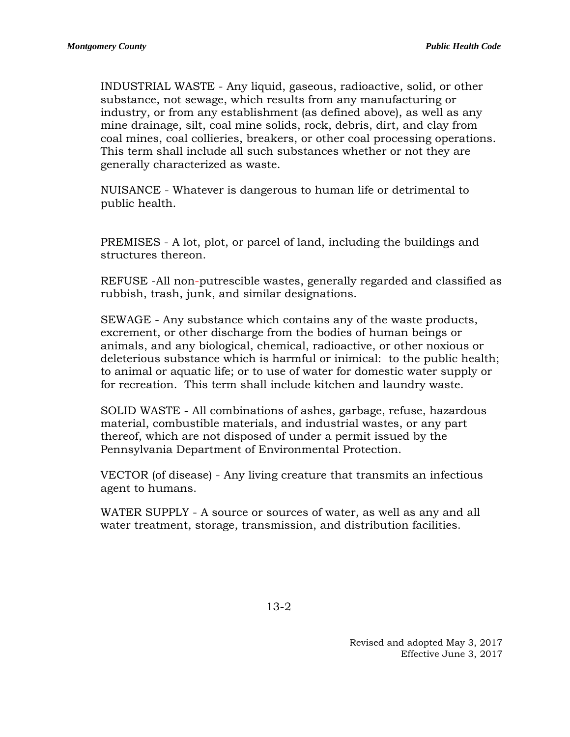INDUSTRIAL WASTE - Any liquid, gaseous, radioactive, solid, or other substance, not sewage, which results from any manufacturing or industry, or from any establishment (as defined above), as well as any mine drainage, silt, coal mine solids, rock, debris, dirt, and clay from coal mines, coal collieries, breakers, or other coal processing operations. This term shall include all such substances whether or not they are generally characterized as waste.

NUISANCE - Whatever is dangerous to human life or detrimental to public health.

PREMISES - A lot, plot, or parcel of land, including the buildings and structures thereon.

REFUSE -All non-putrescible wastes, generally regarded and classified as rubbish, trash, junk, and similar designations.

SEWAGE - Any substance which contains any of the waste products, excrement, or other discharge from the bodies of human beings or animals, and any biological, chemical, radioactive, or other noxious or deleterious substance which is harmful or inimical: to the public health; to animal or aquatic life; or to use of water for domestic water supply or for recreation. This term shall include kitchen and laundry waste.

SOLID WASTE - All combinations of ashes, garbage, refuse, hazardous material, combustible materials, and industrial wastes, or any part thereof, which are not disposed of under a permit issued by the Pennsylvania Department of Environmental Protection.

VECTOR (of disease) - Any living creature that transmits an infectious agent to humans.

WATER SUPPLY - A source or sources of water, as well as any and all water treatment, storage, transmission, and distribution facilities.

13-2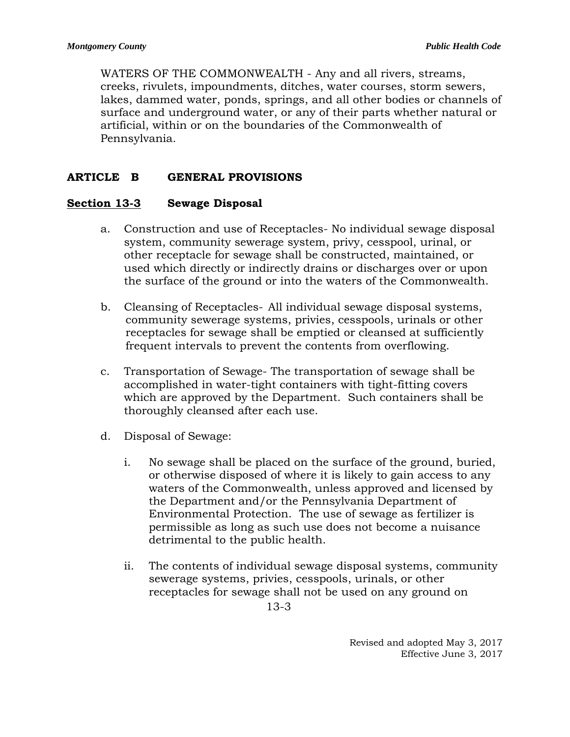WATERS OF THE COMMONWEALTH - Any and all rivers, streams, creeks, rivulets, impoundments, ditches, water courses, storm sewers, lakes, dammed water, ponds, springs, and all other bodies or channels of surface and underground water, or any of their parts whether natural or artificial, within or on the boundaries of the Commonwealth of Pennsylvania.

# **ARTICLE B GENERAL PROVISIONS**

## **Section 13-3 Sewage Disposal**

- a. Construction and use of Receptacles- No individual sewage disposal system, community sewerage system, privy, cesspool, urinal, or other receptacle for sewage shall be constructed, maintained, or used which directly or indirectly drains or discharges over or upon the surface of the ground or into the waters of the Commonwealth.
- b. Cleansing of Receptacles- All individual sewage disposal systems, community sewerage systems, privies, cesspools, urinals or other receptacles for sewage shall be emptied or cleansed at sufficiently frequent intervals to prevent the contents from overflowing.
- c. Transportation of Sewage- The transportation of sewage shall be accomplished in water-tight containers with tight-fitting covers which are approved by the Department. Such containers shall be thoroughly cleansed after each use.
- d. Disposal of Sewage:
	- i. No sewage shall be placed on the surface of the ground, buried, or otherwise disposed of where it is likely to gain access to any waters of the Commonwealth, unless approved and licensed by the Department and/or the Pennsylvania Department of Environmental Protection. The use of sewage as fertilizer is permissible as long as such use does not become a nuisance detrimental to the public health.
	- ii. The contents of individual sewage disposal systems, community sewerage systems, privies, cesspools, urinals, or other receptacles for sewage shall not be used on any ground on

13-3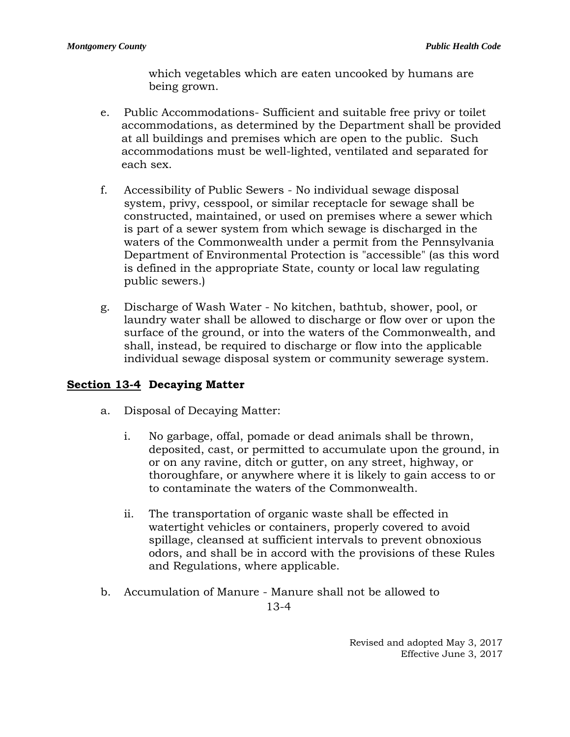which vegetables which are eaten uncooked by humans are being grown.

- e. Public Accommodations- Sufficient and suitable free privy or toilet accommodations, as determined by the Department shall be provided at all buildings and premises which are open to the public. Such accommodations must be well-lighted, ventilated and separated for each sex.
- f. Accessibility of Public Sewers No individual sewage disposal system, privy, cesspool, or similar receptacle for sewage shall be constructed, maintained, or used on premises where a sewer which is part of a sewer system from which sewage is discharged in the waters of the Commonwealth under a permit from the Pennsylvania Department of Environmental Protection is "accessible" (as this word is defined in the appropriate State, county or local law regulating public sewers.)
- g. Discharge of Wash Water No kitchen, bathtub, shower, pool, or laundry water shall be allowed to discharge or flow over or upon the surface of the ground, or into the waters of the Commonwealth, and shall, instead, be required to discharge or flow into the applicable individual sewage disposal system or community sewerage system.

# **Section 13-4 Decaying Matter**

- a. Disposal of Decaying Matter:
	- i. No garbage, offal, pomade or dead animals shall be thrown, deposited, cast, or permitted to accumulate upon the ground, in or on any ravine, ditch or gutter, on any street, highway, or thoroughfare, or anywhere where it is likely to gain access to or to contaminate the waters of the Commonwealth.
	- ii. The transportation of organic waste shall be effected in watertight vehicles or containers, properly covered to avoid spillage, cleansed at sufficient intervals to prevent obnoxious odors, and shall be in accord with the provisions of these Rules and Regulations, where applicable.
- b. Accumulation of Manure Manure shall not be allowed to

13-4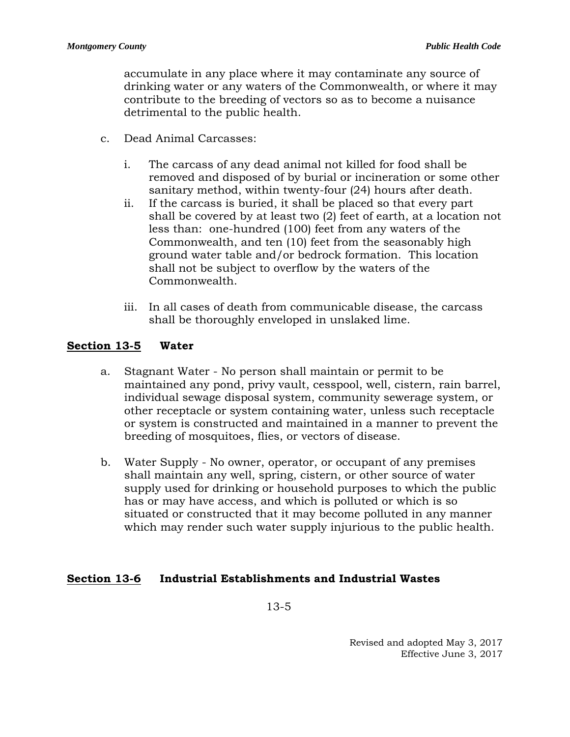accumulate in any place where it may contaminate any source of drinking water or any waters of the Commonwealth, or where it may contribute to the breeding of vectors so as to become a nuisance detrimental to the public health.

- c. Dead Animal Carcasses:
	- i. The carcass of any dead animal not killed for food shall be removed and disposed of by burial or incineration or some other sanitary method, within twenty-four (24) hours after death.
	- ii. If the carcass is buried, it shall be placed so that every part shall be covered by at least two (2) feet of earth, at a location not less than: one-hundred (100) feet from any waters of the Commonwealth, and ten (10) feet from the seasonably high ground water table and/or bedrock formation. This location shall not be subject to overflow by the waters of the Commonwealth.
	- iii. In all cases of death from communicable disease, the carcass shall be thoroughly enveloped in unslaked lime.

## **Section 13-5 Water**

- a. Stagnant Water No person shall maintain or permit to be maintained any pond, privy vault, cesspool, well, cistern, rain barrel, individual sewage disposal system, community sewerage system, or other receptacle or system containing water, unless such receptacle or system is constructed and maintained in a manner to prevent the breeding of mosquitoes, flies, or vectors of disease.
- b. Water Supply No owner, operator, or occupant of any premises shall maintain any well, spring, cistern, or other source of water supply used for drinking or household purposes to which the public has or may have access, and which is polluted or which is so situated or constructed that it may become polluted in any manner which may render such water supply injurious to the public health.

## **Section 13-6 Industrial Establishments and Industrial Wastes**

13-5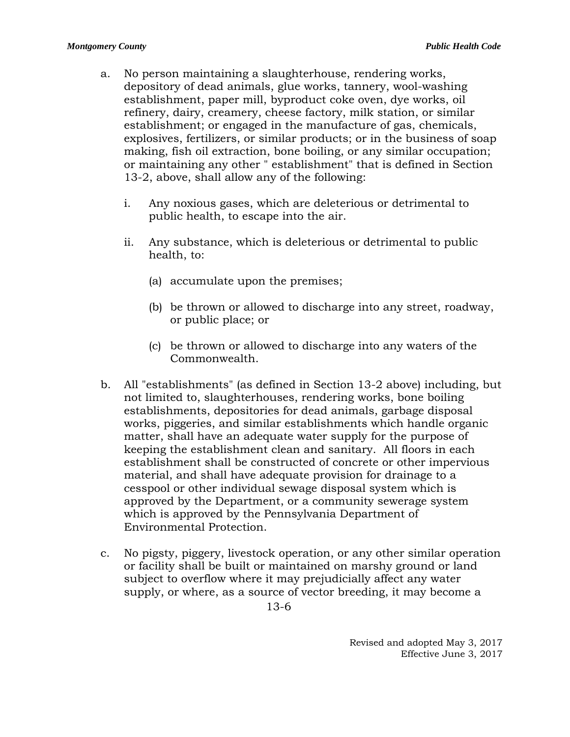- a. No person maintaining a slaughterhouse, rendering works, depository of dead animals, glue works, tannery, wool-washing establishment, paper mill, byproduct coke oven, dye works, oil refinery, dairy, creamery, cheese factory, milk station, or similar establishment; or engaged in the manufacture of gas, chemicals, explosives, fertilizers, or similar products; or in the business of soap making, fish oil extraction, bone boiling, or any similar occupation; or maintaining any other " establishment" that is defined in Section 13-2, above, shall allow any of the following:
	- i. Any noxious gases, which are deleterious or detrimental to public health, to escape into the air.
	- ii. Any substance, which is deleterious or detrimental to public health, to:
		- (a) accumulate upon the premises;
		- (b) be thrown or allowed to discharge into any street, roadway, or public place; or
		- (c) be thrown or allowed to discharge into any waters of the Commonwealth.
- b. All "establishments" (as defined in Section 13-2 above) including, but not limited to, slaughterhouses, rendering works, bone boiling establishments, depositories for dead animals, garbage disposal works, piggeries, and similar establishments which handle organic matter, shall have an adequate water supply for the purpose of keeping the establishment clean and sanitary. All floors in each establishment shall be constructed of concrete or other impervious material, and shall have adequate provision for drainage to a cesspool or other individual sewage disposal system which is approved by the Department, or a community sewerage system which is approved by the Pennsylvania Department of Environmental Protection.
- c. No pigsty, piggery, livestock operation, or any other similar operation or facility shall be built or maintained on marshy ground or land subject to overflow where it may prejudicially affect any water supply, or where, as a source of vector breeding, it may become a

13-6